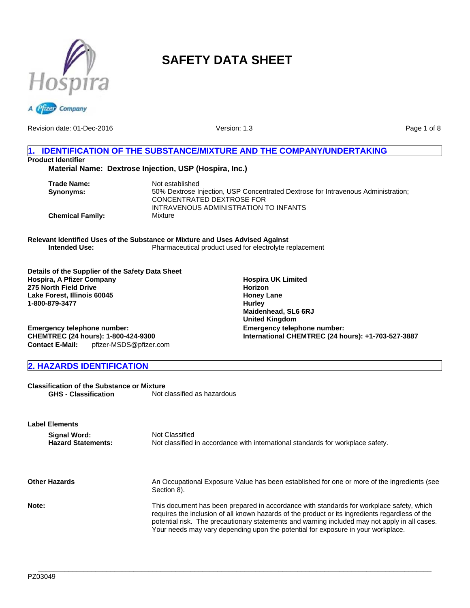

# **SAFETY DATA SHEET**



Version: 1.3

Page 1 of 8

# **1. IDENTIFICATION OF THE SUBSTANCE/MIXTURE AND THE COMPANY/UNDERTAKING Product Identifier Material Name: Dextrose Injection, USP (Hospira, Inc.)**

**Trade Name:** Not established **Synonyms:** 50% Dextrose Injection, USP Concentrated Dextrose for Intravenous Administration; CONCENTRATED DEXTROSE FOR INTRAVENOUS ADMINISTRATION TO INFANTS **Chemical Family:** Mixture

**Relevant Identified Uses of the Substance or Mixture and Uses Advised Against Intended Use:** Pharmaceutical product used for electrolyte replacement

**Details of the Supplier of the Safety Data Sheet Hospira, A Pfizer Company 275 North Field Drive Lake Forest, Illinois 60045 1-800-879-3477**

**Hospira UK Limited Horizon Honey Lane Hurley Maidenhead, SL6 6RJ United Kingdom Emergency telephone number: International CHEMTREC (24 hours): +1-703-527-3887**

**Emergency telephone number: CHEMTREC (24 hours): 1-800-424-9300 Contact E-Mail:** pfizer-MSDS@pfizer.com

# **2. HAZARDS IDENTIFICATION**

**Classification of the Substance or Mixture GHS - Classification** Not classified as hazardous

**Label Elements Signal Word:** Not Classified<br> **Hazard Statements:** Not classified Not classified in accordance with international standards for workplace safety. **Other Hazards** An Occupational Exposure Value has been established for one or more of the ingredients (see Section 8). **Note:** This document has been prepared in accordance with standards for workplace safety, which requires the inclusion of all known hazards of the product or its ingredients regardless of the potential risk. The precautionary statements and warning included may not apply in all cases. Your needs may vary depending upon the potential for exposure in your workplace.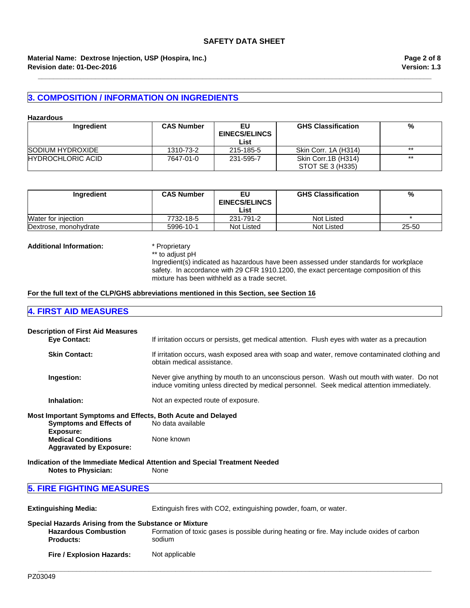#### **Revision date: 01-Dec-2016 Material Name: Dextrose Injection, USP (Hospira, Inc.)**

# **3. COMPOSITION / INFORMATION ON INGREDIENTS**

#### **Hazardous**

| Ingredient               | <b>CAS Number</b> | EU<br><b>EINECS/ELINCS</b><br>List | <b>GHS Classification</b>               | %     |
|--------------------------|-------------------|------------------------------------|-----------------------------------------|-------|
| SODIUM HYDROXIDE         | 1310-73-2         | 215-185-5                          | Skin Corr. 1A (H314)                    | $***$ |
| <b>HYDROCHLORIC ACID</b> | 7647-01-0         | 231-595-7                          | Skin Corr.1B (H314)<br>STOT SE 3 (H335) | $***$ |

**\_\_\_\_\_\_\_\_\_\_\_\_\_\_\_\_\_\_\_\_\_\_\_\_\_\_\_\_\_\_\_\_\_\_\_\_\_\_\_\_\_\_\_\_\_\_\_\_\_\_\_\_\_\_\_\_\_\_\_\_\_\_\_\_\_\_\_\_\_\_\_\_\_\_\_\_\_\_\_\_\_\_\_\_\_\_\_\_\_\_\_\_\_\_\_\_\_\_\_\_\_\_\_**

| Ingredient            | <b>CAS Number</b> | EU<br><b>EINECS/ELINCS</b><br>List | <b>GHS Classification</b> | %     |
|-----------------------|-------------------|------------------------------------|---------------------------|-------|
| Water for injection   | 7732-18-5         | 231-791-2                          | Not Listed                |       |
| Dextrose, monohydrate | 5996-10-1         | Not Listed                         | Not Listed                | 25-50 |

#### **Additional Information:** \* Proprietary

\*\* to adjust pH

Ingredient(s) indicated as hazardous have been assessed under standards for workplace safety. In accordance with 29 CFR 1910.1200, the exact percentage composition of this mixture has been withheld as a trade secret.

#### **For the full text of the CLP/GHS abbreviations mentioned in this Section, see Section 16**

# **4. FIRST AID MEASURES**

|                                  | <b>Description of First Aid Measures</b><br><b>Eye Contact:</b>                                            | If irritation occurs or persists, get medical attention. Flush eyes with water as a precaution                                                                                        |
|----------------------------------|------------------------------------------------------------------------------------------------------------|---------------------------------------------------------------------------------------------------------------------------------------------------------------------------------------|
|                                  | <b>Skin Contact:</b>                                                                                       | If irritation occurs, wash exposed area with soap and water, remove contaminated clothing and<br>obtain medical assistance.                                                           |
|                                  | Ingestion:                                                                                                 | Never give anything by mouth to an unconscious person. Wash out mouth with water. Do not<br>induce vomiting unless directed by medical personnel. Seek medical attention immediately. |
|                                  | Inhalation:                                                                                                | Not an expected route of exposure.                                                                                                                                                    |
|                                  | Most Important Symptoms and Effects, Both Acute and Delayed<br><b>Symptoms and Effects of</b><br>Exposure: | No data available                                                                                                                                                                     |
|                                  | <b>Medical Conditions</b><br><b>Aggravated by Exposure:</b>                                                | None known                                                                                                                                                                            |
|                                  |                                                                                                            | Indication of the Immediate Medical Attention and Special Treatment Needed                                                                                                            |
|                                  | <b>Notes to Physician:</b>                                                                                 | None                                                                                                                                                                                  |
| <b>5. FIRE FIGHTING MEASURES</b> |                                                                                                            |                                                                                                                                                                                       |
|                                  | <b>Extinguishing Media:</b>                                                                                | Extinguish fires with CO2, extinguishing powder, foam, or water.                                                                                                                      |
|                                  | Consider Homewald, Autobiographic and Culculation on Minimum                                               |                                                                                                                                                                                       |

| Special Hazards Arising from the Substance or Mixture |                                                                                                     |
|-------------------------------------------------------|-----------------------------------------------------------------------------------------------------|
| <b>Hazardous Combustion</b><br><b>Products:</b>       | Formation of toxic gases is possible during heating or fire. May include oxides of carbon<br>sodium |
| Fire / Explosion Hazards:                             | Not applicable                                                                                      |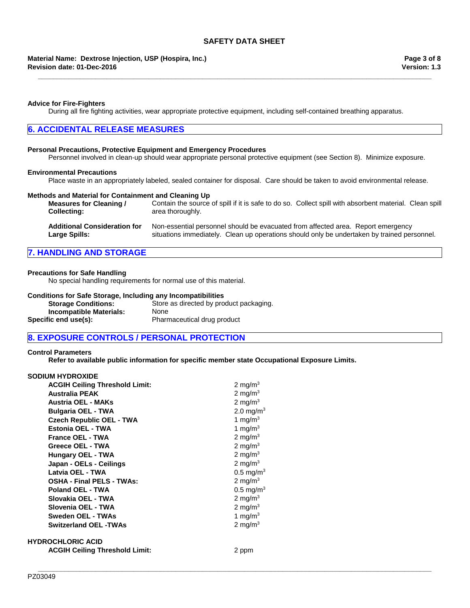#### **Revision date: 01-Dec-2016 Material Name: Dextrose Injection, USP (Hospira, Inc.)**

#### **Advice for Fire-Fighters**

During all fire fighting activities, wear appropriate protective equipment, including self-contained breathing apparatus.

### **6. ACCIDENTAL RELEASE MEASURES**

#### **Personal Precautions, Protective Equipment and Emergency Procedures**

Personnel involved in clean-up should wear appropriate personal protective equipment (see Section 8). Minimize exposure.

#### **Environmental Precautions**

Place waste in an appropriately labeled, sealed container for disposal. Care should be taken to avoid environmental release.

#### **Methods and Material for Containment and Cleaning Up**

**Measures for Cleaning / Collecting:** Contain the source of spill if it is safe to do so. Collect spill with absorbent material. Clean spill area thoroughly. **Additional Consideration for Large Spills:** Non-essential personnel should be evacuated from affected area. Report emergency situations immediately. Clean up operations should only be undertaken by trained personnel.

# **7. HANDLING AND STORAGE**

#### **Precautions for Safe Handling**

No special handling requirements for normal use of this material.

#### **Conditions for Safe Storage, Including any Incompatibilities**

| <b>Storage Conditions:</b>     | Store as directed by product packaging. |
|--------------------------------|-----------------------------------------|
| <b>Incompatible Materials:</b> | <b>None</b>                             |
| Specific end use(s):           | Pharmaceutical drug product             |

# **8. EXPOSURE CONTROLS / PERSONAL PROTECTION**

#### **Control Parameters**

**Refer to available public information for specific member state Occupational Exposure Limits.**

**\_\_\_\_\_\_\_\_\_\_\_\_\_\_\_\_\_\_\_\_\_\_\_\_\_\_\_\_\_\_\_\_\_\_\_\_\_\_\_\_\_\_\_\_\_\_\_\_\_\_\_\_\_\_\_\_\_\_\_\_\_\_\_\_\_\_\_\_\_\_\_\_\_\_\_\_\_\_\_\_\_\_\_\_\_\_\_\_\_\_\_\_\_\_\_\_\_\_\_\_\_\_\_**

#### **SODIUM HYDROXIDE**

| <b>ACGIH Ceiling Threshold Limit:</b> | 2 mg/m $3$            |
|---------------------------------------|-----------------------|
| <b>Australia PEAK</b>                 | 2 mg/m $3$            |
| <b>Austria OEL - MAKs</b>             | 2 mg/m $3$            |
| <b>Bulgaria OEL - TWA</b>             | 2.0 mg/m <sup>3</sup> |
| <b>Czech Republic OEL - TWA</b>       | 1 mg/m $3$            |
| Estonia OEL - TWA                     | 1 mg/m $3$            |
| <b>France OEL - TWA</b>               | 2 mg/m $3$            |
| Greece OEL - TWA                      | 2 mg/m $3$            |
| <b>Hungary OEL - TWA</b>              | 2 mg/m $3$            |
| Japan - OELs - Ceilings               | 2 mg/m $3$            |
| Latvia OEL - TWA                      | $0.5 \text{ mg/m}^3$  |
| <b>OSHA - Final PELS - TWAs:</b>      | 2 mg/m $3$            |
| Poland OEL - TWA                      | $0.5 \text{ mg/m}^3$  |
| Slovakia OEL - TWA                    | 2 mg/m $3$            |
| Slovenia OEL - TWA                    | 2 mg/m $3$            |
| Sweden OEL - TWAs                     | 1 mg/m $3$            |
| <b>Switzerland OEL -TWAs</b>          | 2 mg/m $3$            |
| ROCHLORIC ACID                        |                       |
| <b>ACGIH Ceiling Threshold Limit:</b> | 2 ppm                 |

**HYD**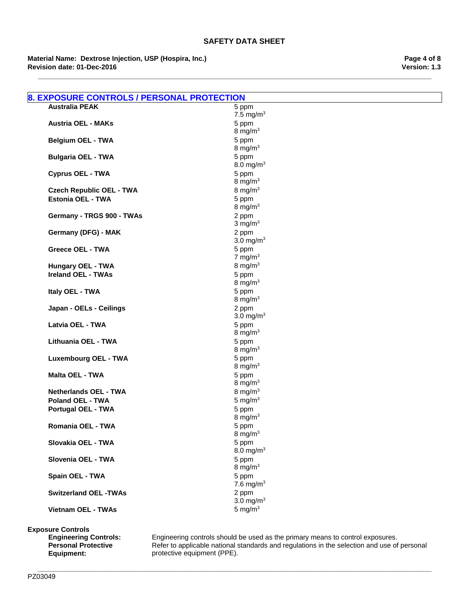**Revision date: 01-Dec-2016 Material Name: Dextrose Injection, USP (Hospira, Inc.)** **Version: 1.3 Page 4 of 8**

| <b>8. EXPOSURE CONTROLS / PERSONAL PROTECTION</b> |                                |
|---------------------------------------------------|--------------------------------|
| <b>Australia PEAK</b>                             | 5 ppm                          |
|                                                   | 7.5 mg/m $3$                   |
| <b>Austria OEL - MAKs</b>                         | 5 ppm                          |
|                                                   | 8 mg/m $3$<br>5 ppm            |
| <b>Belgium OEL - TWA</b>                          | 8 mg/m $3$                     |
| <b>Bulgaria OEL - TWA</b>                         | 5 ppm                          |
|                                                   | 8.0 mg/m <sup>3</sup>          |
| <b>Cyprus OEL - TWA</b>                           | 5 ppm                          |
|                                                   | 8 mg/m $3$                     |
| <b>Czech Republic OEL - TWA</b>                   | 8 mg/m $3$                     |
| <b>Estonia OEL - TWA</b>                          | 5 ppm                          |
|                                                   | 8 mg/m $3$                     |
| Germany - TRGS 900 - TWAs                         | 2 ppm                          |
|                                                   | $3 \text{ mg/m}^3$             |
| Germany (DFG) - MAK                               | 2 ppm<br>3.0 mg/m <sup>3</sup> |
| <b>Greece OEL - TWA</b>                           | 5 ppm                          |
|                                                   | 7 mg/m $3$                     |
| Hungary OEL - TWA                                 | 8 mg/m $3$                     |
| <b>Ireland OEL - TWAs</b>                         | 5 ppm                          |
|                                                   | 8 mg/m $3$                     |
| Italy OEL - TWA                                   | 5 ppm                          |
|                                                   | 8 mg/m $3$                     |
| Japan - OELs - Ceilings                           | 2 ppm                          |
|                                                   | 3.0 mg/ $m3$                   |
| Latvia OEL - TWA                                  | 5 ppm<br>8 mg/m $3$            |
| Lithuania OEL - TWA                               | 5 ppm                          |
|                                                   | 8 mg/m $3$                     |
| <b>Luxembourg OEL - TWA</b>                       | 5 ppm                          |
|                                                   | 8 mg/m $3$                     |
| <b>Malta OEL - TWA</b>                            | 5 ppm                          |
|                                                   | 8 mg/m $3$                     |
| <b>Netherlands OEL - TWA</b>                      | 8 mg/m $3$                     |
| <b>Poland OEL - TWA</b>                           | 5 mg/ $m3$                     |
| <b>Portugal OEL - TWA</b>                         | 5 ppm<br>8 mg/m $3$            |
| Romania OEL - TWA                                 | 5 ppm                          |
|                                                   | $8 \text{ mg/m}^3$             |
| Slovakia OEL - TWA                                | 5 ppm                          |
|                                                   | 8.0 mg/m <sup>3</sup>          |
| Slovenia OEL - TWA                                | 5 ppm                          |
|                                                   | 8 mg/m $3$                     |
| Spain OEL - TWA                                   | 5 ppm                          |
|                                                   | 7.6 mg/m $3$                   |
| <b>Switzerland OEL -TWAs</b>                      | 2 ppm                          |
|                                                   | 3.0 mg/ $m3$<br>5 mg/ $m3$     |
| Vietnam OEL - TWAs                                |                                |

**\_\_\_\_\_\_\_\_\_\_\_\_\_\_\_\_\_\_\_\_\_\_\_\_\_\_\_\_\_\_\_\_\_\_\_\_\_\_\_\_\_\_\_\_\_\_\_\_\_\_\_\_\_\_\_\_\_\_\_\_\_\_\_\_\_\_\_\_\_\_\_\_\_\_\_\_\_\_\_\_\_\_\_\_\_\_\_\_\_\_\_\_\_\_\_\_\_\_\_\_\_\_\_**

**Exposure Controls**

**Engineering Controls:**<br>**Personal Protective Equipment:**

**Engineering Controls:** Engineering controls should be used as the primary means to control exposures. Refer to applicable national standards and regulations in the selection and use of personal protective equipment (PPE).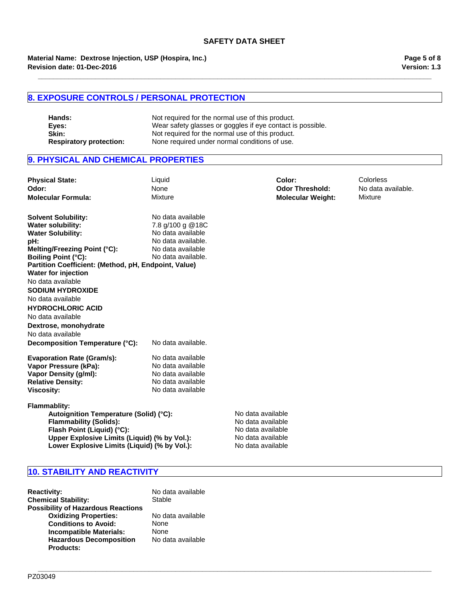**Revision date: 01-Dec-2016 Material Name: Dextrose Injection, USP (Hospira, Inc.)**

# **8. EXPOSURE CONTROLS / PERSONAL PROTECTION**

**Hands:** Not required for the normal use of this product.<br> **Eyes:** Wear safety glasses or goggles if eye contact is **Eyes:** Wear safety glasses or goggles if eye contact is possible. **Skin:** Not required for the normal use of this product. **Respiratory protection:** None required under normal conditions of use.

# **9. PHYSICAL AND CHEMICAL PROPERTIES**

| <b>Physical State:</b><br>Odor:<br><b>Molecular Formula:</b>                                                                                                                                                                                                                                  | Liquid<br>None<br>Mixture                                                                                                   |                                                                                                       | Color:<br><b>Odor Threshold:</b><br><b>Molecular Weight:</b> | Colorless<br>No data available.<br>Mixture |
|-----------------------------------------------------------------------------------------------------------------------------------------------------------------------------------------------------------------------------------------------------------------------------------------------|-----------------------------------------------------------------------------------------------------------------------------|-------------------------------------------------------------------------------------------------------|--------------------------------------------------------------|--------------------------------------------|
| <b>Solvent Solubility:</b><br><b>Water solubility:</b><br><b>Water Solubility:</b><br>pH:<br>Melting/Freezing Point (°C):<br><b>Boiling Point (°C):</b><br>Partition Coefficient: (Method, pH, Endpoint, Value)<br><b>Water for injection</b><br>No data available<br><b>SODIUM HYDROXIDE</b> | No data available<br>7.8 g/100 g @18C<br>No data available<br>No data available.<br>No data available<br>No data available. |                                                                                                       |                                                              |                                            |
| No data available<br><b>HYDROCHLORIC ACID</b><br>No data available<br>Dextrose, monohydrate<br>No data available<br>Decomposition Temperature (°C):                                                                                                                                           | No data available.                                                                                                          |                                                                                                       |                                                              |                                            |
| <b>Evaporation Rate (Gram/s):</b><br>Vapor Pressure (kPa):<br>Vapor Density (g/ml):<br><b>Relative Density:</b><br><b>Viscosity:</b>                                                                                                                                                          | No data available<br>No data available<br>No data available<br>No data available<br>No data available                       |                                                                                                       |                                                              |                                            |
| <b>Flammablity:</b><br>Autoignition Temperature (Solid) (°C):<br><b>Flammability (Solids):</b><br>Flash Point (Liquid) (°C):<br>Upper Explosive Limits (Liquid) (% by Vol.):<br>Lower Explosive Limits (Liquid) (% by Vol.):                                                                  |                                                                                                                             | No data available<br>No data available<br>No data available<br>No data available<br>No data available |                                                              |                                            |

**\_\_\_\_\_\_\_\_\_\_\_\_\_\_\_\_\_\_\_\_\_\_\_\_\_\_\_\_\_\_\_\_\_\_\_\_\_\_\_\_\_\_\_\_\_\_\_\_\_\_\_\_\_\_\_\_\_\_\_\_\_\_\_\_\_\_\_\_\_\_\_\_\_\_\_\_\_\_\_\_\_\_\_\_\_\_\_\_\_\_\_\_\_\_\_\_\_\_\_\_\_\_\_**

# **10. STABILITY AND REACTIVITY**

| <b>Reactivity:</b><br><b>Chemical Stability:</b>   | No data available<br>Stable |
|----------------------------------------------------|-----------------------------|
| <b>Possibility of Hazardous Reactions</b>          |                             |
| <b>Oxidizing Properties:</b>                       | No data available           |
| <b>Conditions to Avoid:</b>                        | <b>None</b>                 |
| <b>Incompatible Materials:</b>                     | <b>None</b>                 |
| <b>Hazardous Decomposition</b><br><b>Products:</b> | No data available           |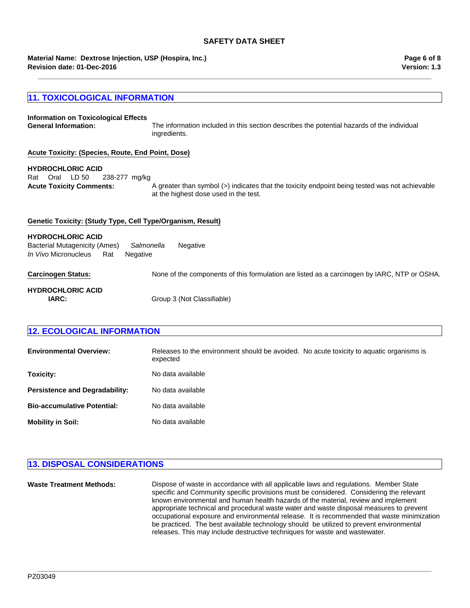# **SAFETY DATA SHEET**

**\_\_\_\_\_\_\_\_\_\_\_\_\_\_\_\_\_\_\_\_\_\_\_\_\_\_\_\_\_\_\_\_\_\_\_\_\_\_\_\_\_\_\_\_\_\_\_\_\_\_\_\_\_\_\_\_\_\_\_\_\_\_\_\_\_\_\_\_\_\_\_\_\_\_\_\_\_\_\_\_\_\_\_\_\_\_\_\_\_\_\_\_\_\_\_\_\_\_\_\_\_\_\_**

**Revision date: 01-Dec-2016 Material Name: Dextrose Injection, USP (Hospira, Inc.)** **Version: 1.3 Page 6 of 8**

# **11. TOXICOLOGICAL INFORMATION**

| Information on Toxicological Effects<br><b>General Information:</b>                                                       | The information included in this section describes the potential hazards of the individual<br>ingredients.                              |
|---------------------------------------------------------------------------------------------------------------------------|-----------------------------------------------------------------------------------------------------------------------------------------|
| Acute Toxicity: (Species, Route, End Point, Dose)                                                                         |                                                                                                                                         |
| <b>HYDROCHLORIC ACID</b><br>Oral LD 50<br>Rat<br>238-277 mg/kg<br><b>Acute Toxicity Comments:</b>                         | A greater than symbol (>) indicates that the toxicity endpoint being tested was not achievable<br>at the highest dose used in the test. |
| Genetic Toxicity: (Study Type, Cell Type/Organism, Result)                                                                |                                                                                                                                         |
| <b>HYDROCHLORIC ACID</b><br>Salmonella<br>Bacterial Mutagenicity (Ames)<br><i>In Vivo</i> Micronucleus<br>Rat<br>Negative | Negative                                                                                                                                |
| <b>Carcinogen Status:</b>                                                                                                 | None of the components of this formulation are listed as a carcinogen by IARC, NTP or OSHA.                                             |
| <b>HYDROCHLORIC ACID</b><br>IARC:                                                                                         | Group 3 (Not Classifiable)                                                                                                              |

# **12. ECOLOGICAL INFORMATION**

| <b>Environmental Overview:</b>        | Releases to the environment should be avoided. No acute toxicity to aquatic organisms is<br>expected |
|---------------------------------------|------------------------------------------------------------------------------------------------------|
| Toxicity:                             | No data available                                                                                    |
| <b>Persistence and Degradability:</b> | No data available                                                                                    |
| <b>Bio-accumulative Potential:</b>    | No data available                                                                                    |
| <b>Mobility in Soil:</b>              | No data available                                                                                    |

# **13. DISPOSAL CONSIDERATIONS**

| <b>Waste Treatment Methods:</b> | Dispose of waste in accordance with all applicable laws and regulations. Member State<br>specific and Community specific provisions must be considered. Considering the relevant<br>known environmental and human health hazards of the material, review and implement<br>appropriate technical and procedural waste water and waste disposal measures to prevent<br>occupational exposure and environmental release. It is recommended that waste minimization<br>be practiced. The best available technology should be utilized to prevent environmental<br>releases. This may include destructive techniques for waste and wastewater. |
|---------------------------------|-------------------------------------------------------------------------------------------------------------------------------------------------------------------------------------------------------------------------------------------------------------------------------------------------------------------------------------------------------------------------------------------------------------------------------------------------------------------------------------------------------------------------------------------------------------------------------------------------------------------------------------------|
|                                 |                                                                                                                                                                                                                                                                                                                                                                                                                                                                                                                                                                                                                                           |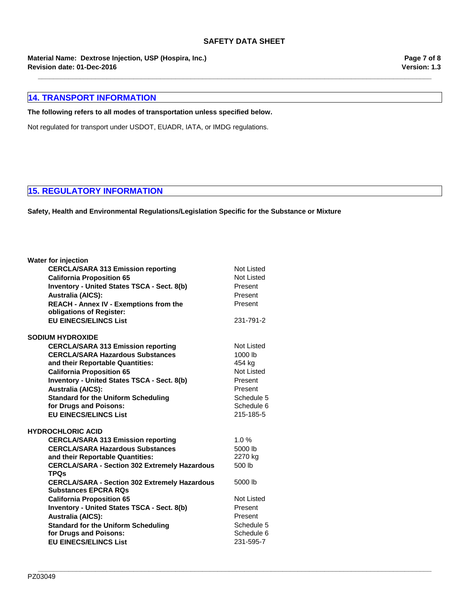**\_\_\_\_\_\_\_\_\_\_\_\_\_\_\_\_\_\_\_\_\_\_\_\_\_\_\_\_\_\_\_\_\_\_\_\_\_\_\_\_\_\_\_\_\_\_\_\_\_\_\_\_\_\_\_\_\_\_\_\_\_\_\_\_\_\_\_\_\_\_\_\_\_\_\_\_\_\_\_\_\_\_\_\_\_\_\_\_\_\_\_\_\_\_\_\_\_\_\_\_\_\_\_**

**Revision date: 01-Dec-2016 Material Name: Dextrose Injection, USP (Hospira, Inc.)**

# **14. TRANSPORT INFORMATION**

### **The following refers to all modes of transportation unless specified below.**

Not regulated for transport under USDOT, EUADR, IATA, or IMDG regulations.

# **15. REGULATORY INFORMATION**

**Safety, Health and Environmental Regulations/Legislation Specific for the Substance or Mixture**

| <b>Water for injection</b>                           |            |
|------------------------------------------------------|------------|
| <b>CERCLA/SARA 313 Emission reporting</b>            | Not Listed |
| <b>California Proposition 65</b>                     | Not Listed |
| <b>Inventory - United States TSCA - Sect. 8(b)</b>   | Present    |
| <b>Australia (AICS):</b>                             | Present    |
| <b>REACH - Annex IV - Exemptions from the</b>        | Present    |
| obligations of Register:                             |            |
| <b>EU EINECS/ELINCS List</b>                         | 231-791-2  |
| <b>SODIUM HYDROXIDE</b>                              |            |
| <b>CERCLA/SARA 313 Emission reporting</b>            | Not Listed |
| <b>CERCLA/SARA Hazardous Substances</b>              | 1000 lb    |
| and their Reportable Quantities:                     | 454 kg     |
| <b>California Proposition 65</b>                     | Not Listed |
| <b>Inventory - United States TSCA - Sect. 8(b)</b>   | Present    |
| <b>Australia (AICS):</b>                             | Present    |
| <b>Standard for the Uniform Scheduling</b>           | Schedule 5 |
| for Drugs and Poisons:                               | Schedule 6 |
| <b>EU EINECS/ELINCS List</b>                         | 215-185-5  |
| <b>HYDROCHLORIC ACID</b>                             |            |
| <b>CERCLA/SARA 313 Emission reporting</b>            | 1.0%       |
| <b>CERCLA/SARA Hazardous Substances</b>              | 5000 lb    |
| and their Reportable Quantities:                     | 2270 kg    |
| <b>CERCLA/SARA - Section 302 Extremely Hazardous</b> | 500 lb     |
| <b>TPQs</b>                                          |            |
| <b>CERCLA/SARA - Section 302 Extremely Hazardous</b> | 5000 lb    |
| <b>Substances EPCRA RQs</b>                          |            |
| <b>California Proposition 65</b>                     | Not Listed |
| <b>Inventory - United States TSCA - Sect. 8(b)</b>   | Present    |
| <b>Australia (AICS):</b>                             | Present    |
| <b>Standard for the Uniform Scheduling</b>           | Schedule 5 |
| for Drugs and Poisons:                               | Schedule 6 |
| <b>EU EINECS/ELINCS List</b>                         | 231-595-7  |